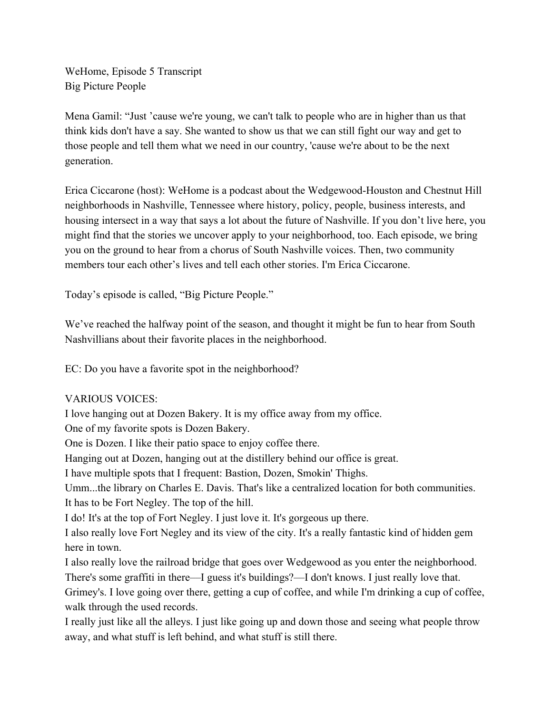WeHome, Episode 5 Transcript Big Picture People

Mena Gamil: "Just 'cause we're young, we can't talk to people who are in higher than us that think kids don't have a say. She wanted to show us that we can still fight our way and get to those people and tell them what we need in our country, 'cause we're about to be the next generation.

Erica Ciccarone (host): WeHome is a podcast about the Wedgewood-Houston and Chestnut Hill neighborhoods in Nashville, Tennessee where history, policy, people, business interests, and housing intersect in a way that says a lot about the future of Nashville. If you don't live here, you might find that the stories we uncover apply to your neighborhood, too. Each episode, we bring you on the ground to hear from a chorus of South Nashville voices. Then, two community members tour each other's lives and tell each other stories. I'm Erica Ciccarone.

Today's episode is called, "Big Picture People."

We've reached the halfway point of the season, and thought it might be fun to hear from South Nashvillians about their favorite places in the neighborhood.

EC: Do you have a favorite spot in the neighborhood?

## VARIOUS VOICES:

I love hanging out at Dozen Bakery. It is my office away from my office. One of my favorite spots is Dozen Bakery. One is Dozen. I like their patio space to enjoy coffee there. Hanging out at Dozen, hanging out at the distillery behind our office is great. I have multiple spots that I frequent: Bastion, Dozen, Smokin' Thighs. Umm...the library on Charles E. Davis. That's like a centralized location for both communities. It has to be Fort Negley. The top of the hill. I do! It's at the top of Fort Negley. I just love it. It's gorgeous up there. I also really love Fort Negley and its view of the city. It's a really fantastic kind of hidden gem here in town. I also really love the railroad bridge that goes over Wedgewood as you enter the neighborhood. There's some graffiti in there—I guess it's buildings?—I don't knows. I just really love that. Grimey's. I love going over there, getting a cup of coffee, and while I'm drinking a cup of coffee, walk through the used records.

I really just like all the alleys. I just like going up and down those and seeing what people throw away, and what stuff is left behind, and what stuff is still there.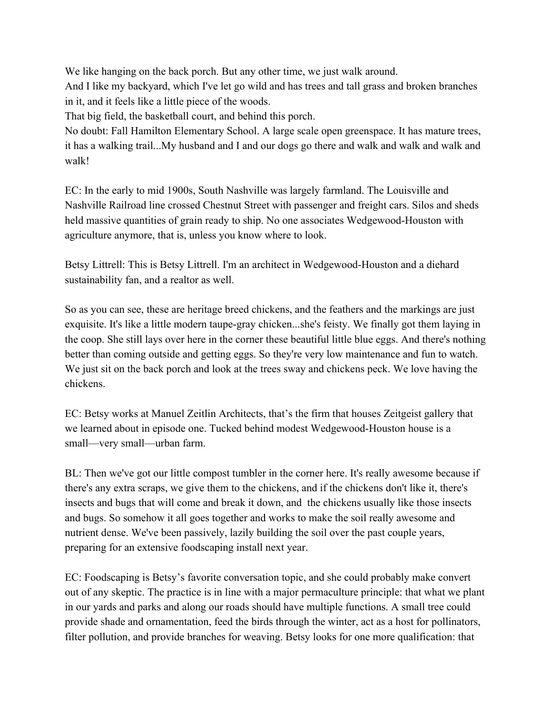We like hanging on the back porch. But any other time, we just walk around. And I like my backyard, which I've let go wild and has trees and tall grass and broken branches in it, and it feels like a little piece of the woods.

That big field, the basketball court, and behind this porch.

No doubt: Fall Hamilton Elementary School. A large scale open greenspace. It has mature trees, it has a walking trail...My husband and I and our dogs go there and walk and walk and walk and walk!

EC: In the early to mid 1900s, South Nashville was largely farmland. The Louisville and Nashville Railroad line crossed Chestnut Street with passenger and freight cars. Silos and sheds held massive quantities of grain ready to ship. No one associates Wedgewood-Houston with agriculture anymore, that is, unless you know where to look.

Betsy Littrell: This is Betsy Littrell. I'm an architect in Wedgewood-Houston and a diehard sustainability fan, and a realtor as well.

So as you can see, these are heritage breed chickens, and the feathers and the markings are just exquisite. It's like a little modern taupe-gray chicken...she's feisty. We finally got them laying in the coop. She still lays over here in the corner these beautiful little blue eggs. And there's nothing better than coming outside and getting eggs. So they're very low maintenance and fun to watch. We just sit on the back porch and look at the trees sway and chickens peck. We love having the chickens.

EC: Betsy works at Manuel Zeitlin Architects, that's the firm that houses Zeitgeist gallery that we learned about in episode one. Tucked behind modest Wedgewood-Houston house is a small—very small—urban farm.

BL: Then we've got our little compost tumbler in the corner here. It's really awesome because if there's any extra scraps, we give them to the chickens, and if the chickens don't like it, there's insects and bugs that will come and break it down, and the chickens usually like those insects and bugs. So somehow it all goes together and works to make the soil really awesome and nutrient dense. We've been passively, lazily building the soil over the past couple years, preparing for an extensive foodscaping install next year.

EC: Foodscaping is Betsy's favorite conversation topic, and she could probably make convert out of any skeptic. The practice is in line with a major permaculture principle: that what we plant in our yards and parks and along our roads should have multiple functions. A small tree could provide shade and ornamentation, feed the birds through the winter, act as a host for pollinators, filter pollution, and provide branches for weaving. Betsy looks for one more qualification: that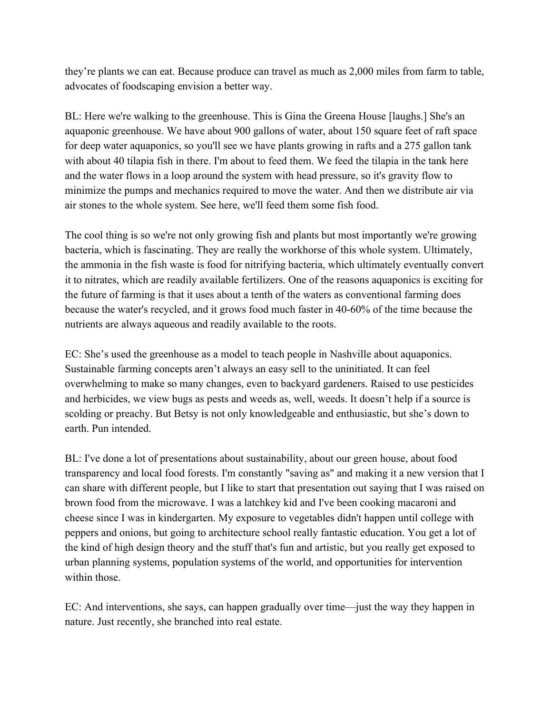they're plants we can eat. Because produce can travel as much as 2,000 miles from farm to table, advocates of foodscaping envision a better way.

BL: Here we're walking to the greenhouse. This is Gina the Greena House [laughs.] She's an aquaponic greenhouse. We have about 900 gallons of water, about 150 square feet of raft space for deep water aquaponics, so you'll see we have plants growing in rafts and a 275 gallon tank with about 40 tilapia fish in there. I'm about to feed them. We feed the tilapia in the tank here and the water flows in a loop around the system with head pressure, so it's gravity flow to minimize the pumps and mechanics required to move the water. And then we distribute air via air stones to the whole system. See here, we'll feed them some fish food.

The cool thing is so we're not only growing fish and plants but most importantly we're growing bacteria, which is fascinating. They are really the workhorse of this whole system. Ultimately, the ammonia in the fish waste is food for nitrifying bacteria, which ultimately eventually convert it to nitrates, which are readily available fertilizers. One of the reasons aquaponics is exciting for the future of farming is that it uses about a tenth of the waters as conventional farming does because the water's recycled, and it grows food much faster in 40-60% of the time because the nutrients are always aqueous and readily available to the roots.

EC: She's used the greenhouse as a model to teach people in Nashville about aquaponics. Sustainable farming concepts aren't always an easy sell to the uninitiated. It can feel overwhelming to make so many changes, even to backyard gardeners. Raised to use pesticides and herbicides, we view bugs as pests and weeds as, well, weeds. It doesn't help if a source is scolding or preachy. But Betsy is not only knowledgeable and enthusiastic, but she's down to earth. Pun intended.

BL: I've done a lot of presentations about sustainability, about our green house, about food transparency and local food forests. I'm constantly "saving as" and making it a new version that I can share with different people, but I like to start that presentation out saying that I was raised on brown food from the microwave. I was a latchkey kid and I've been cooking macaroni and cheese since I was in kindergarten. My exposure to vegetables didn't happen until college with peppers and onions, but going to architecture school really fantastic education. You get a lot of the kind of high design theory and the stuff that's fun and artistic, but you really get exposed to urban planning systems, population systems of the world, and opportunities for intervention within those

EC: And interventions, she says, can happen gradually over time—just the way they happen in nature. Just recently, she branched into real estate.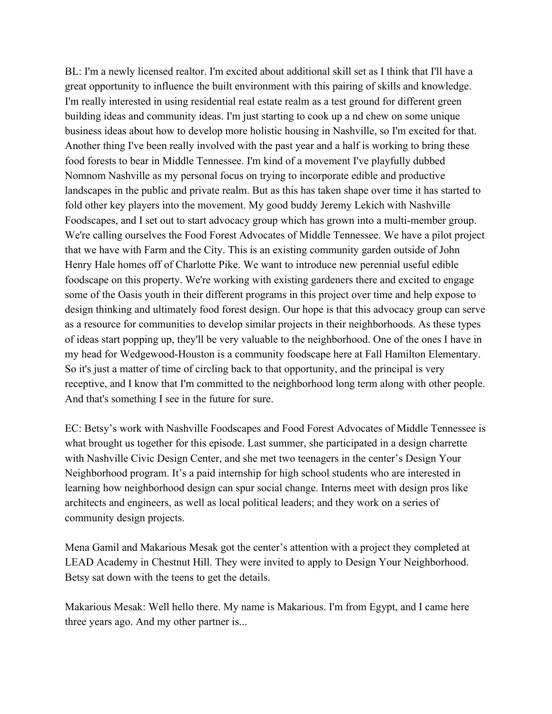BL: I'm a newly licensed realtor. I'm excited about additional skill set as I think that I'll have a great opportunity to influence the built environment with this pairing of skills and knowledge. I'm really interested in using residential real estate realm as a test ground for different green building ideas and community ideas. I'm just starting to cook up a nd chew on some unique business ideas about how to develop more holistic housing in Nashville, so I'm excited for that. Another thing I've been really involved with the past year and a half is working to bring these food forests to bear in Middle Tennessee. I'm kind of a movement I've playfully dubbed Nomnom Nashville as my personal focus on trying to incorporate edible and productive landscapes in the public and private realm. But as this has taken shape over time it has started to fold other key players into the movement. My good buddy Jeremy Lekich with Nashville Foodscapes, and I set out to start advocacy group which has grown into a multi-member group. We're calling ourselves the Food Forest Advocates of Middle Tennessee. We have a pilot project that we have with Farm and the City. This is an existing community garden outside of John Henry Hale homes off of Charlotte Pike. We want to introduce new perennial useful edible foodscape on this property. We're working with existing gardeners there and excited to engage some of the Oasis youth in their different programs in this project over time and help expose to design thinking and ultimately food forest design. Our hope is that this advocacy group can serve as a resource for communities to develop similar projects in their neighborhoods. As these types of ideas start popping up, they'll be very valuable to the neighborhood. One of the ones I have in my head for Wedgewood-Houston is a community foodscape here at Fall Hamilton Elementary. So it's just a matter of time of circling back to that opportunity, and the principal is very receptive, and I know that I'm committed to the neighborhood long term along with other people. And that's something I see in the future for sure.

EC: Betsy's work with Nashville Foodscapes and Food Forest Advocates of Middle Tennessee is what brought us together for this episode. Last summer, she participated in a design charrette with Nashville Civic Design Center, and she met two teenagers in the center's Design Your Neighborhood program. It's a paid internship for high school students who are interested in learning how neighborhood design can spur social change. Interns meet with design pros like architects and engineers, as well as local political leaders; and they work on a series of community design projects.

Mena Gamil and Makarious Mesak got the center's attention with a project they completed at LEAD Academy in Chestnut Hill. They were invited to apply to Design Your Neighborhood. Betsy sat down with the teens to get the details.

Makarious Mesak: Well hello there. My name is Makarious. I'm from Egypt, and I came here three years ago. And my other partner is...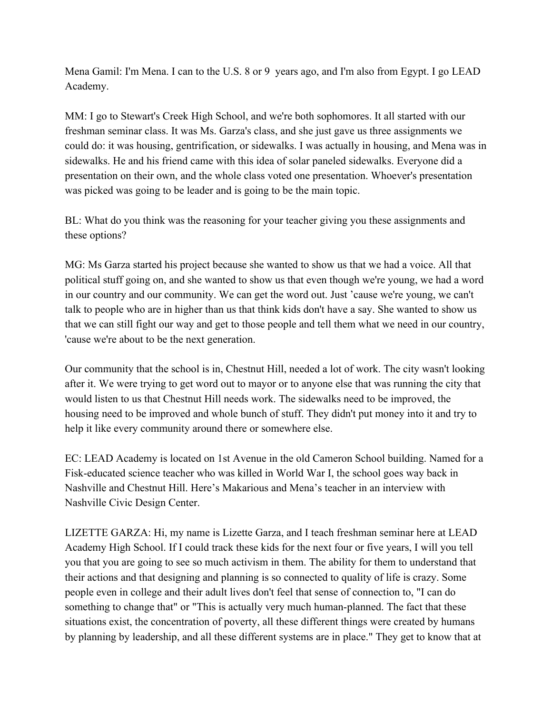Mena Gamil: I'm Mena. I can to the U.S. 8 or 9 years ago, and I'm also from Egypt. I go LEAD Academy.

MM: I go to Stewart's Creek High School, and we're both sophomores. It all started with our freshman seminar class. It was Ms. Garza's class, and she just gave us three assignments we could do: it was housing, gentrification, or sidewalks. I was actually in housing, and Mena was in sidewalks. He and his friend came with this idea of solar paneled sidewalks. Everyone did a presentation on their own, and the whole class voted one presentation. Whoever's presentation was picked was going to be leader and is going to be the main topic.

BL: What do you think was the reasoning for your teacher giving you these assignments and these options?

MG: Ms Garza started his project because she wanted to show us that we had a voice. All that political stuff going on, and she wanted to show us that even though we're young, we had a word in our country and our community. We can get the word out. Just 'cause we're young, we can't talk to people who are in higher than us that think kids don't have a say. She wanted to show us that we can still fight our way and get to those people and tell them what we need in our country, 'cause we're about to be the next generation.

Our community that the school is in, Chestnut Hill, needed a lot of work. The city wasn't looking after it. We were trying to get word out to mayor or to anyone else that was running the city that would listen to us that Chestnut Hill needs work. The sidewalks need to be improved, the housing need to be improved and whole bunch of stuff. They didn't put money into it and try to help it like every community around there or somewhere else.

EC: LEAD Academy is located on 1st Avenue in the old Cameron School building. Named for a Fisk-educated science teacher who was killed in World War I, the school goes way back in Nashville and Chestnut Hill. Here's Makarious and Mena's teacher in an interview with Nashville Civic Design Center.

LIZETTE GARZA: Hi, my name is Lizette Garza, and I teach freshman seminar here at LEAD Academy High School. If I could track these kids for the next four or five years, I will you tell you that you are going to see so much activism in them. The ability for them to understand that their actions and that designing and planning is so connected to quality of life is crazy. Some people even in college and their adult lives don't feel that sense of connection to, "I can do something to change that" or "This is actually very much human-planned. The fact that these situations exist, the concentration of poverty, all these different things were created by humans by planning by leadership, and all these different systems are in place." They get to know that at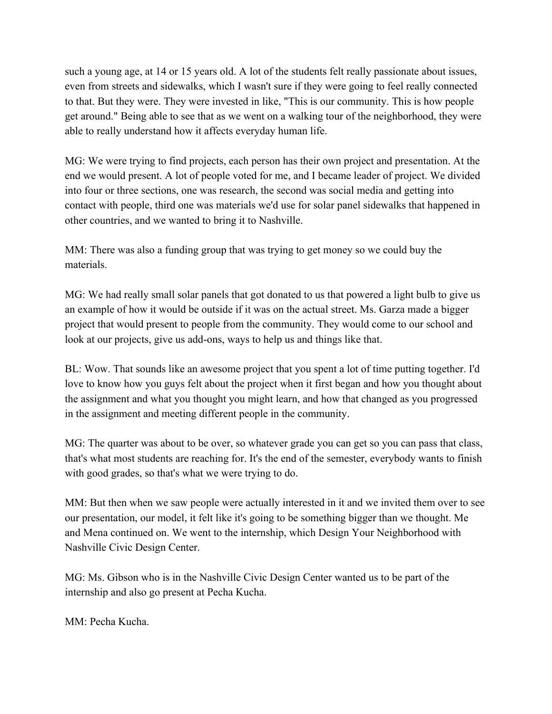such a young age, at 14 or 15 years old. A lot of the students felt really passionate about issues, even from streets and sidewalks, which I wasn't sure if they were going to feel really connected to that. But they were. They were invested in like, "This is our community. This is how people get around." Being able to see that as we went on a walking tour of the neighborhood, they were able to really understand how it affects everyday human life.

MG: We were trying to find projects, each person has their own project and presentation. At the end we would present. A lot of people voted for me, and I became leader of project. We divided into four or three sections, one was research, the second was social media and getting into contact with people, third one was materials we'd use for solar panel sidewalks that happened in other countries, and we wanted to bring it to Nashville.

MM: There was also a funding group that was trying to get money so we could buy the materials.

MG: We had really small solar panels that got donated to us that powered a light bulb to give us an example of how it would be outside if it was on the actual street. Ms. Garza made a bigger project that would present to people from the community. They would come to our school and look at our projects, give us add-ons, ways to help us and things like that.

BL: Wow. That sounds like an awesome project that you spent a lot of time putting together. I'd love to know how you guys felt about the project when it first began and how you thought about the assignment and what you thought you might learn, and how that changed as you progressed in the assignment and meeting different people in the community.

MG: The quarter was about to be over, so whatever grade you can get so you can pass that class, that's what most students are reaching for. It's the end of the semester, everybody wants to finish with good grades, so that's what we were trying to do.

MM: But then when we saw people were actually interested in it and we invited them over to see our presentation, our model, it felt like it's going to be something bigger than we thought. Me and Mena continued on. We went to the internship, which Design Your Neighborhood with Nashville Civic Design Center.

MG: Ms. Gibson who is in the Nashville Civic Design Center wanted us to be part of the internship and also go present at Pecha Kucha.

MM: Pecha Kucha.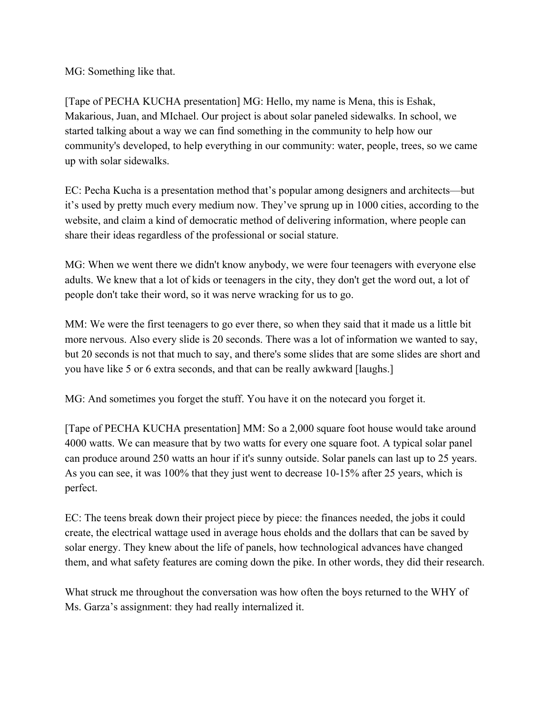MG: Something like that.

[Tape of PECHA KUCHA presentation] MG: Hello, my name is Mena, this is Eshak, Makarious, Juan, and MIchael. Our project is about solar paneled sidewalks. In school, we started talking about a way we can find something in the community to help how our community's developed, to help everything in our community: water, people, trees, so we came up with solar sidewalks.

EC: Pecha Kucha is a presentation method that's popular among designers and architects––but it's used by pretty much every medium now. They've sprung up in 1000 cities, according to the website, and claim a kind of democratic method of delivering information, where people can share their ideas regardless of the professional or social stature.

MG: When we went there we didn't know anybody, we were four teenagers with everyone else adults. We knew that a lot of kids or teenagers in the city, they don't get the word out, a lot of people don't take their word, so it was nerve wracking for us to go.

MM: We were the first teenagers to go ever there, so when they said that it made us a little bit more nervous. Also every slide is 20 seconds. There was a lot of information we wanted to say, but 20 seconds is not that much to say, and there's some slides that are some slides are short and you have like 5 or 6 extra seconds, and that can be really awkward [laughs.]

MG: And sometimes you forget the stuff. You have it on the notecard you forget it.

[Tape of PECHA KUCHA presentation] MM: So a 2,000 square foot house would take around 4000 watts. We can measure that by two watts for every one square foot. A typical solar panel can produce around 250 watts an hour if it's sunny outside. Solar panels can last up to 25 years. As you can see, it was 100% that they just went to decrease 10-15% after 25 years, which is perfect.

EC: The teens break down their project piece by piece: the finances needed, the jobs it could create, the electrical wattage used in average hous eholds and the dollars that can be saved by solar energy. They knew about the life of panels, how technological advances have changed them, and what safety features are coming down the pike. In other words, they did their research.

What struck me throughout the conversation was how often the boys returned to the WHY of Ms. Garza's assignment: they had really internalized it.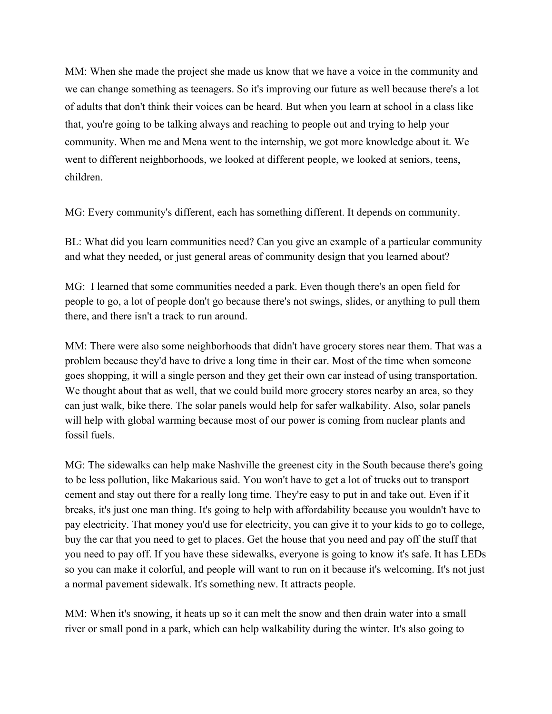MM: When she made the project she made us know that we have a voice in the community and we can change something as teenagers. So it's improving our future as well because there's a lot of adults that don't think their voices can be heard. But when you learn at school in a class like that, you're going to be talking always and reaching to people out and trying to help your community. When me and Mena went to the internship, we got more knowledge about it. We went to different neighborhoods, we looked at different people, we looked at seniors, teens, children.

MG: Every community's different, each has something different. It depends on community.

BL: What did you learn communities need? Can you give an example of a particular community and what they needed, or just general areas of community design that you learned about?

MG: I learned that some communities needed a park. Even though there's an open field for people to go, a lot of people don't go because there's not swings, slides, or anything to pull them there, and there isn't a track to run around.

MM: There were also some neighborhoods that didn't have grocery stores near them. That was a problem because they'd have to drive a long time in their car. Most of the time when someone goes shopping, it will a single person and they get their own car instead of using transportation. We thought about that as well, that we could build more grocery stores nearby an area, so they can just walk, bike there. The solar panels would help for safer walkability. Also, solar panels will help with global warming because most of our power is coming from nuclear plants and fossil fuels.

MG: The sidewalks can help make Nashville the greenest city in the South because there's going to be less pollution, like Makarious said. You won't have to get a lot of trucks out to transport cement and stay out there for a really long time. They're easy to put in and take out. Even if it breaks, it's just one man thing. It's going to help with affordability because you wouldn't have to pay electricity. That money you'd use for electricity, you can give it to your kids to go to college, buy the car that you need to get to places. Get the house that you need and pay off the stuff that you need to pay off. If you have these sidewalks, everyone is going to know it's safe. It has LEDs so you can make it colorful, and people will want to run on it because it's welcoming. It's not just a normal pavement sidewalk. It's something new. It attracts people.

MM: When it's snowing, it heats up so it can melt the snow and then drain water into a small river or small pond in a park, which can help walkability during the winter. It's also going to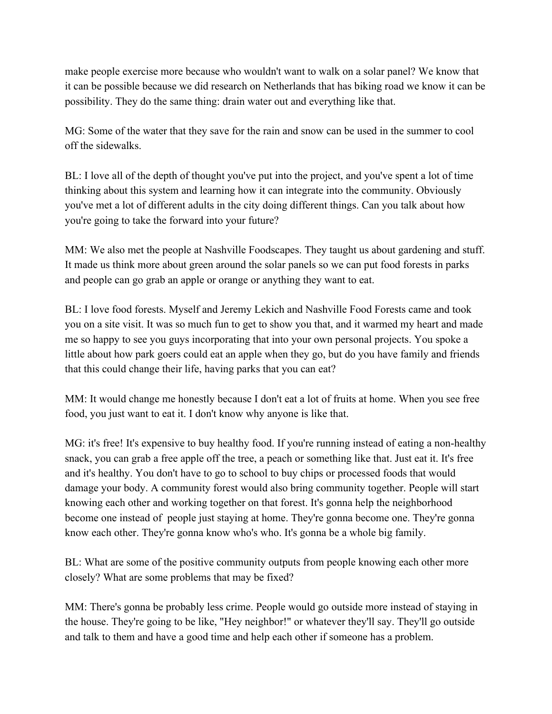make people exercise more because who wouldn't want to walk on a solar panel? We know that it can be possible because we did research on Netherlands that has biking road we know it can be possibility. They do the same thing: drain water out and everything like that.

MG: Some of the water that they save for the rain and snow can be used in the summer to cool off the sidewalks.

BL: I love all of the depth of thought you've put into the project, and you've spent a lot of time thinking about this system and learning how it can integrate into the community. Obviously you've met a lot of different adults in the city doing different things. Can you talk about how you're going to take the forward into your future?

MM: We also met the people at Nashville Foodscapes. They taught us about gardening and stuff. It made us think more about green around the solar panels so we can put food forests in parks and people can go grab an apple or orange or anything they want to eat.

BL: I love food forests. Myself and Jeremy Lekich and Nashville Food Forests came and took you on a site visit. It was so much fun to get to show you that, and it warmed my heart and made me so happy to see you guys incorporating that into your own personal projects. You spoke a little about how park goers could eat an apple when they go, but do you have family and friends that this could change their life, having parks that you can eat?

MM: It would change me honestly because I don't eat a lot of fruits at home. When you see free food, you just want to eat it. I don't know why anyone is like that.

MG: it's free! It's expensive to buy healthy food. If you're running instead of eating a non-healthy snack, you can grab a free apple off the tree, a peach or something like that. Just eat it. It's free and it's healthy. You don't have to go to school to buy chips or processed foods that would damage your body. A community forest would also bring community together. People will start knowing each other and working together on that forest. It's gonna help the neighborhood become one instead of people just staying at home. They're gonna become one. They're gonna know each other. They're gonna know who's who. It's gonna be a whole big family.

BL: What are some of the positive community outputs from people knowing each other more closely? What are some problems that may be fixed?

MM: There's gonna be probably less crime. People would go outside more instead of staying in the house. They're going to be like, "Hey neighbor!" or whatever they'll say. They'll go outside and talk to them and have a good time and help each other if someone has a problem.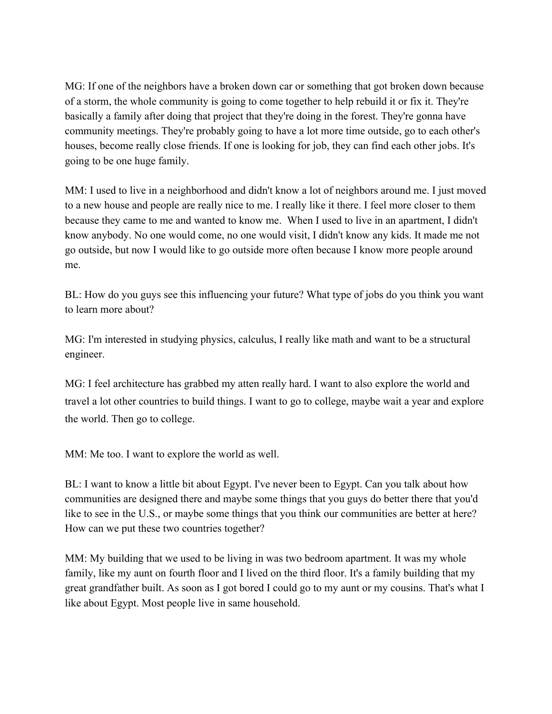MG: If one of the neighbors have a broken down car or something that got broken down because of a storm, the whole community is going to come together to help rebuild it or fix it. They're basically a family after doing that project that they're doing in the forest. They're gonna have community meetings. They're probably going to have a lot more time outside, go to each other's houses, become really close friends. If one is looking for job, they can find each other jobs. It's going to be one huge family.

MM: I used to live in a neighborhood and didn't know a lot of neighbors around me. I just moved to a new house and people are really nice to me. I really like it there. I feel more closer to them because they came to me and wanted to know me. When I used to live in an apartment, I didn't know anybody. No one would come, no one would visit, I didn't know any kids. It made me not go outside, but now I would like to go outside more often because I know more people around me.

BL: How do you guys see this influencing your future? What type of jobs do you think you want to learn more about?

MG: I'm interested in studying physics, calculus, I really like math and want to be a structural engineer.

MG: I feel architecture has grabbed my atten really hard. I want to also explore the world and travel a lot other countries to build things. I want to go to college, maybe wait a year and explore the world. Then go to college.

MM: Me too. I want to explore the world as well.

BL: I want to know a little bit about Egypt. I've never been to Egypt. Can you talk about how communities are designed there and maybe some things that you guys do better there that you'd like to see in the U.S., or maybe some things that you think our communities are better at here? How can we put these two countries together?

MM: My building that we used to be living in was two bedroom apartment. It was my whole family, like my aunt on fourth floor and I lived on the third floor. It's a family building that my great grandfather built. As soon as I got bored I could go to my aunt or my cousins. That's what I like about Egypt. Most people live in same household.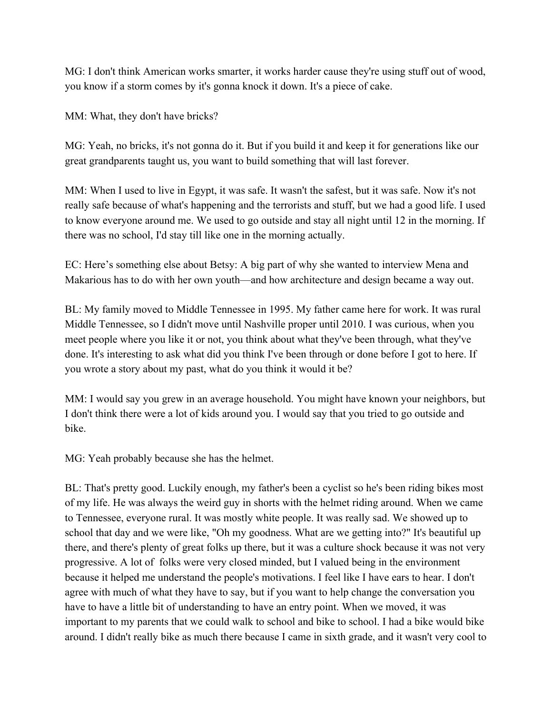MG: I don't think American works smarter, it works harder cause they're using stuff out of wood, you know if a storm comes by it's gonna knock it down. It's a piece of cake.

MM: What, they don't have bricks?

MG: Yeah, no bricks, it's not gonna do it. But if you build it and keep it for generations like our great grandparents taught us, you want to build something that will last forever.

MM: When I used to live in Egypt, it was safe. It wasn't the safest, but it was safe. Now it's not really safe because of what's happening and the terrorists and stuff, but we had a good life. I used to know everyone around me. We used to go outside and stay all night until 12 in the morning. If there was no school, I'd stay till like one in the morning actually.

EC: Here's something else about Betsy: A big part of why she wanted to interview Mena and Makarious has to do with her own youth––and how architecture and design became a way out.

BL: My family moved to Middle Tennessee in 1995. My father came here for work. It was rural Middle Tennessee, so I didn't move until Nashville proper until 2010. I was curious, when you meet people where you like it or not, you think about what they've been through, what they've done. It's interesting to ask what did you think I've been through or done before I got to here. If you wrote a story about my past, what do you think it would it be?

MM: I would say you grew in an average household. You might have known your neighbors, but I don't think there were a lot of kids around you. I would say that you tried to go outside and bike.

MG: Yeah probably because she has the helmet.

BL: That's pretty good. Luckily enough, my father's been a cyclist so he's been riding bikes most of my life. He was always the weird guy in shorts with the helmet riding around. When we came to Tennessee, everyone rural. It was mostly white people. It was really sad. We showed up to school that day and we were like, "Oh my goodness. What are we getting into?" It's beautiful up there, and there's plenty of great folks up there, but it was a culture shock because it was not very progressive. A lot of folks were very closed minded, but I valued being in the environment because it helped me understand the people's motivations. I feel like I have ears to hear. I don't agree with much of what they have to say, but if you want to help change the conversation you have to have a little bit of understanding to have an entry point. When we moved, it was important to my parents that we could walk to school and bike to school. I had a bike would bike around. I didn't really bike as much there because I came in sixth grade, and it wasn't very cool to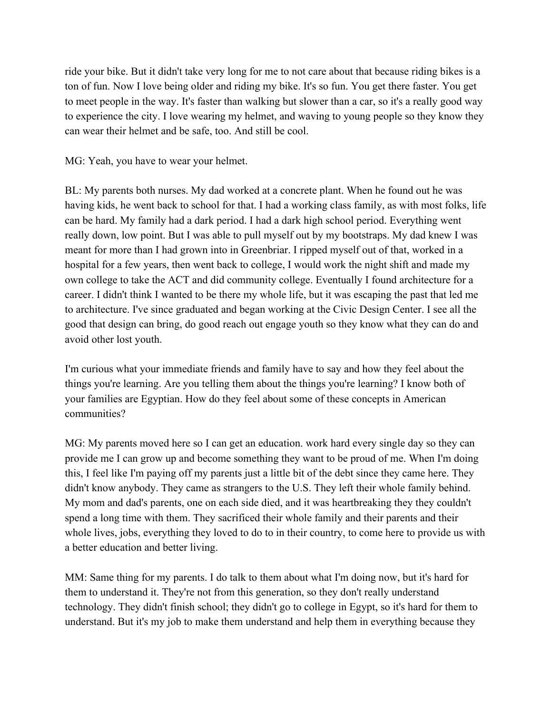ride your bike. But it didn't take very long for me to not care about that because riding bikes is a ton of fun. Now I love being older and riding my bike. It's so fun. You get there faster. You get to meet people in the way. It's faster than walking but slower than a car, so it's a really good way to experience the city. I love wearing my helmet, and waving to young people so they know they can wear their helmet and be safe, too. And still be cool.

MG: Yeah, you have to wear your helmet.

BL: My parents both nurses. My dad worked at a concrete plant. When he found out he was having kids, he went back to school for that. I had a working class family, as with most folks, life can be hard. My family had a dark period. I had a dark high school period. Everything went really down, low point. But I was able to pull myself out by my bootstraps. My dad knew I was meant for more than I had grown into in Greenbriar. I ripped myself out of that, worked in a hospital for a few years, then went back to college, I would work the night shift and made my own college to take the ACT and did community college. Eventually I found architecture for a career. I didn't think I wanted to be there my whole life, but it was escaping the past that led me to architecture. I've since graduated and began working at the Civic Design Center. I see all the good that design can bring, do good reach out engage youth so they know what they can do and avoid other lost youth.

I'm curious what your immediate friends and family have to say and how they feel about the things you're learning. Are you telling them about the things you're learning? I know both of your families are Egyptian. How do they feel about some of these concepts in American communities?

MG: My parents moved here so I can get an education. work hard every single day so they can provide me I can grow up and become something they want to be proud of me. When I'm doing this, I feel like I'm paying off my parents just a little bit of the debt since they came here. They didn't know anybody. They came as strangers to the U.S. They left their whole family behind. My mom and dad's parents, one on each side died, and it was heartbreaking they they couldn't spend a long time with them. They sacrificed their whole family and their parents and their whole lives, jobs, everything they loved to do to in their country, to come here to provide us with a better education and better living.

MM: Same thing for my parents. I do talk to them about what I'm doing now, but it's hard for them to understand it. They're not from this generation, so they don't really understand technology. They didn't finish school; they didn't go to college in Egypt, so it's hard for them to understand. But it's my job to make them understand and help them in everything because they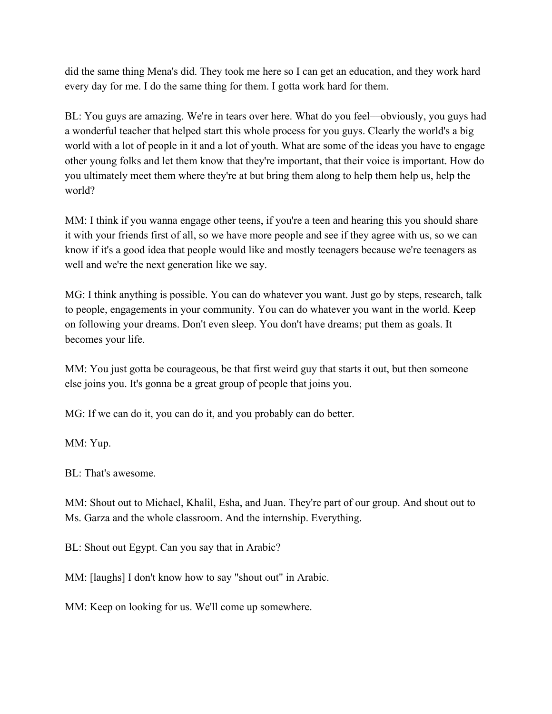did the same thing Mena's did. They took me here so I can get an education, and they work hard every day for me. I do the same thing for them. I gotta work hard for them.

BL: You guys are amazing. We're in tears over here. What do you feel—obviously, you guys had a wonderful teacher that helped start this whole process for you guys. Clearly the world's a big world with a lot of people in it and a lot of youth. What are some of the ideas you have to engage other young folks and let them know that they're important, that their voice is important. How do you ultimately meet them where they're at but bring them along to help them help us, help the world?

MM: I think if you wanna engage other teens, if you're a teen and hearing this you should share it with your friends first of all, so we have more people and see if they agree with us, so we can know if it's a good idea that people would like and mostly teenagers because we're teenagers as well and we're the next generation like we say.

MG: I think anything is possible. You can do whatever you want. Just go by steps, research, talk to people, engagements in your community. You can do whatever you want in the world. Keep on following your dreams. Don't even sleep. You don't have dreams; put them as goals. It becomes your life.

MM: You just gotta be courageous, be that first weird guy that starts it out, but then someone else joins you. It's gonna be a great group of people that joins you.

MG: If we can do it, you can do it, and you probably can do better.

MM: Yup.

BL: That's awesome.

MM: Shout out to Michael, Khalil, Esha, and Juan. They're part of our group. And shout out to Ms. Garza and the whole classroom. And the internship. Everything.

BL: Shout out Egypt. Can you say that in Arabic?

MM: [laughs] I don't know how to say "shout out" in Arabic.

MM: Keep on looking for us. We'll come up somewhere.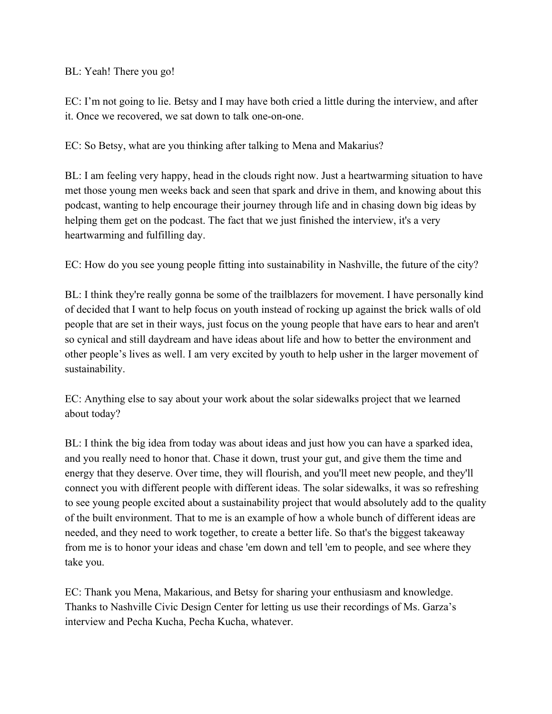## BL: Yeah! There you go!

EC: I'm not going to lie. Betsy and I may have both cried a little during the interview, and after it. Once we recovered, we sat down to talk one-on-one.

EC: So Betsy, what are you thinking after talking to Mena and Makarius?

BL: I am feeling very happy, head in the clouds right now. Just a heartwarming situation to have met those young men weeks back and seen that spark and drive in them, and knowing about this podcast, wanting to help encourage their journey through life and in chasing down big ideas by helping them get on the podcast. The fact that we just finished the interview, it's a very heartwarming and fulfilling day.

EC: How do you see young people fitting into sustainability in Nashville, the future of the city?

BL: I think they're really gonna be some of the trailblazers for movement. I have personally kind of decided that I want to help focus on youth instead of rocking up against the brick walls of old people that are set in their ways, just focus on the young people that have ears to hear and aren't so cynical and still daydream and have ideas about life and how to better the environment and other people's lives as well. I am very excited by youth to help usher in the larger movement of sustainability.

EC: Anything else to say about your work about the solar sidewalks project that we learned about today?

BL: I think the big idea from today was about ideas and just how you can have a sparked idea, and you really need to honor that. Chase it down, trust your gut, and give them the time and energy that they deserve. Over time, they will flourish, and you'll meet new people, and they'll connect you with different people with different ideas. The solar sidewalks, it was so refreshing to see young people excited about a sustainability project that would absolutely add to the quality of the built environment. That to me is an example of how a whole bunch of different ideas are needed, and they need to work together, to create a better life. So that's the biggest takeaway from me is to honor your ideas and chase 'em down and tell 'em to people, and see where they take you.

EC: Thank you Mena, Makarious, and Betsy for sharing your enthusiasm and knowledge. Thanks to Nashville Civic Design Center for letting us use their recordings of Ms. Garza's interview and Pecha Kucha, Pecha Kucha, whatever.